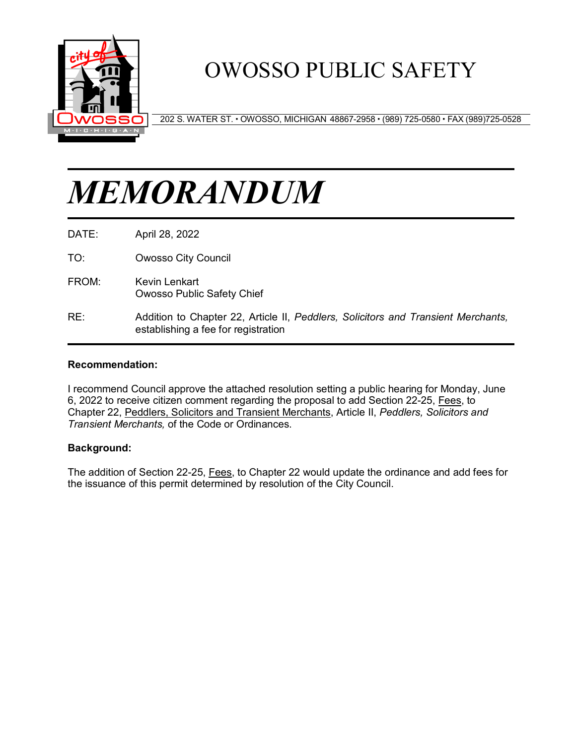

## OWOSSO PUBLIC SAFETY

202 S. WATER ST. OWOSSO, MICHIGAN 48867-2958 (989) 725-0580 FAX (989)725-0528

# *MEMORANDUM*

DATE: April 28, 2022

TO: Owosso City Council

- FROM: Kevin Lenkart Owosso Public Safety Chief
- RE: Addition to Chapter 22, Article II, *Peddlers, Solicitors and Transient Merchants,* establishing a fee for registration

#### **Recommendation:**

I recommend Council approve the attached resolution setting a public hearing for Monday, June 6, 2022 to receive citizen comment regarding the proposal to add Section 22-25, Fees, to Chapter 22, Peddlers, Solicitors and Transient Merchants, Article II, *Peddlers, Solicitors and Transient Merchants,* of the Code or Ordinances.

#### **Background:**

The addition of Section 22-25, Fees, to Chapter 22 would update the ordinance and add fees for the issuance of this permit determined by resolution of the City Council.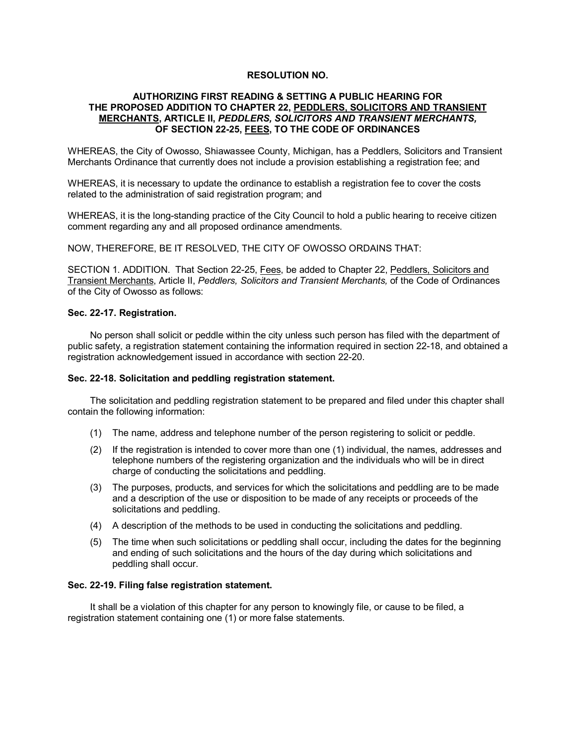#### **RESOLUTION NO.**

#### **AUTHORIZING FIRST READING & SETTING A PUBLIC HEARING FOR THE PROPOSED ADDITION TO CHAPTER 22, PEDDLERS, SOLICITORS AND TRANSIENT MERCHANTS, ARTICLE II,** *PEDDLERS, SOLICITORS AND TRANSIENT MERCHANTS,*  **OF SECTION 22-25, FEES, TO THE CODE OF ORDINANCES**

WHEREAS, the City of Owosso, Shiawassee County, Michigan, has a Peddlers, Solicitors and Transient Merchants Ordinance that currently does not include a provision establishing a registration fee; and

WHEREAS, it is necessary to update the ordinance to establish a registration fee to cover the costs related to the administration of said registration program; and

WHEREAS, it is the long-standing practice of the City Council to hold a public hearing to receive citizen comment regarding any and all proposed ordinance amendments.

NOW, THEREFORE, BE IT RESOLVED, THE CITY OF OWOSSO ORDAINS THAT:

SECTION 1. ADDITION. That Section 22-25, Fees, be added to Chapter 22, Peddlers, Solicitors and Transient Merchants, Article II, *Peddlers, Solicitors and Transient Merchants,* of the Code of Ordinances of the City of Owosso as follows:

#### **Sec. 22-17. Registration.**

No person shall solicit or peddle within the city unless such person has filed with the department of public safety, a registration statement containing the information required in section 22-18, and obtained a registration acknowledgement issued in accordance with section 22-20.

#### **Sec. 22-18. Solicitation and peddling registration statement.**

The solicitation and peddling registration statement to be prepared and filed under this chapter shall contain the following information:

- (1) The name, address and telephone number of the person registering to solicit or peddle.
- (2) If the registration is intended to cover more than one (1) individual, the names, addresses and telephone numbers of the registering organization and the individuals who will be in direct charge of conducting the solicitations and peddling.
- (3) The purposes, products, and services for which the solicitations and peddling are to be made and a description of the use or disposition to be made of any receipts or proceeds of the solicitations and peddling.
- (4) A description of the methods to be used in conducting the solicitations and peddling.
- (5) The time when such solicitations or peddling shall occur, including the dates for the beginning and ending of such solicitations and the hours of the day during which solicitations and peddling shall occur.

#### **Sec. 22-19. Filing false registration statement.**

It shall be a violation of this chapter for any person to knowingly file, or cause to be filed, a registration statement containing one (1) or more false statements.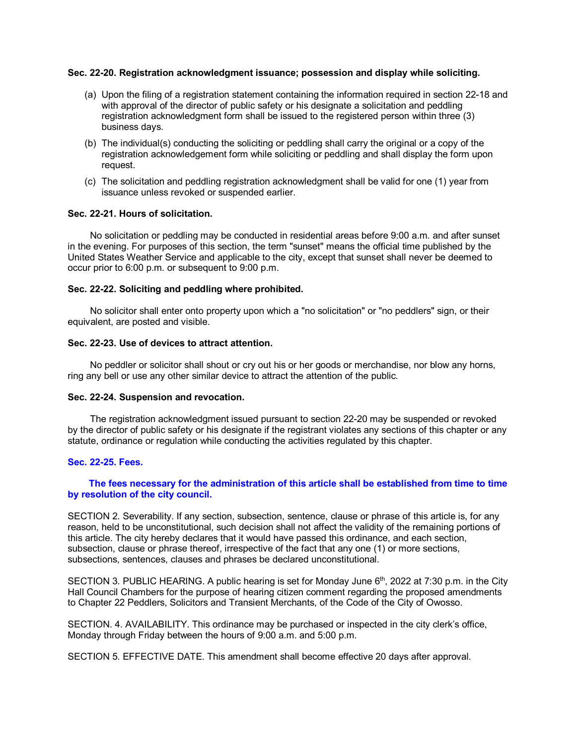#### **Sec. 22-20. Registration acknowledgment issuance; possession and display while soliciting.**

- (a) Upon the filing of a registration statement containing the information required in section 22-18 and with approval of the director of public safety or his designate a solicitation and peddling registration acknowledgment form shall be issued to the registered person within three (3) business days.
- (b) The individual(s) conducting the soliciting or peddling shall carry the original or a copy of the registration acknowledgement form while soliciting or peddling and shall display the form upon request.
- (c) The solicitation and peddling registration acknowledgment shall be valid for one (1) year from issuance unless revoked or suspended earlier.

#### **Sec. 22-21. Hours of solicitation.**

No solicitation or peddling may be conducted in residential areas before 9:00 a.m. and after sunset in the evening. For purposes of this section, the term "sunset" means the official time published by the United States Weather Service and applicable to the city, except that sunset shall never be deemed to occur prior to 6:00 p.m. or subsequent to 9:00 p.m.

#### **Sec. 22-22. Soliciting and peddling where prohibited.**

No solicitor shall enter onto property upon which a "no solicitation" or "no peddlers" sign, or their equivalent, are posted and visible.

#### **Sec. 22-23. Use of devices to attract attention.**

No peddler or solicitor shall shout or cry out his or her goods or merchandise, nor blow any horns, ring any bell or use any other similar device to attract the attention of the public.

#### **Sec. 22-24. Suspension and revocation.**

The registration acknowledgment issued pursuant to section 22-20 may be suspended or revoked by the director of public safety or his designate if the registrant violates any sections of this chapter or any statute, ordinance or regulation while conducting the activities regulated by this chapter.

#### **Sec. 22-25. Fees.**

#### **The fees necessary for the administration of this article shall be established from time to time by resolution of the city council.**

SECTION 2. Severability. If any section, subsection, sentence, clause or phrase of this article is, for any reason, held to be unconstitutional, such decision shall not affect the validity of the remaining portions of this article. The city hereby declares that it would have passed this ordinance, and each section, subsection, clause or phrase thereof, irrespective of the fact that any one (1) or more sections, subsections, sentences, clauses and phrases be declared unconstitutional.

SECTION 3. PUBLIC HEARING. A public hearing is set for Monday June  $6<sup>th</sup>$ , 2022 at 7:30 p.m. in the City Hall Council Chambers for the purpose of hearing citizen comment regarding the proposed amendments to Chapter 22 Peddlers, Solicitors and Transient Merchants, of the Code of the City of Owosso.

SECTION. 4. AVAILABILITY. This ordinance may be purchased or inspected in the city clerk's office, Monday through Friday between the hours of 9:00 a.m. and 5:00 p.m.

SECTION 5. EFFECTIVE DATE. This amendment shall become effective 20 days after approval.